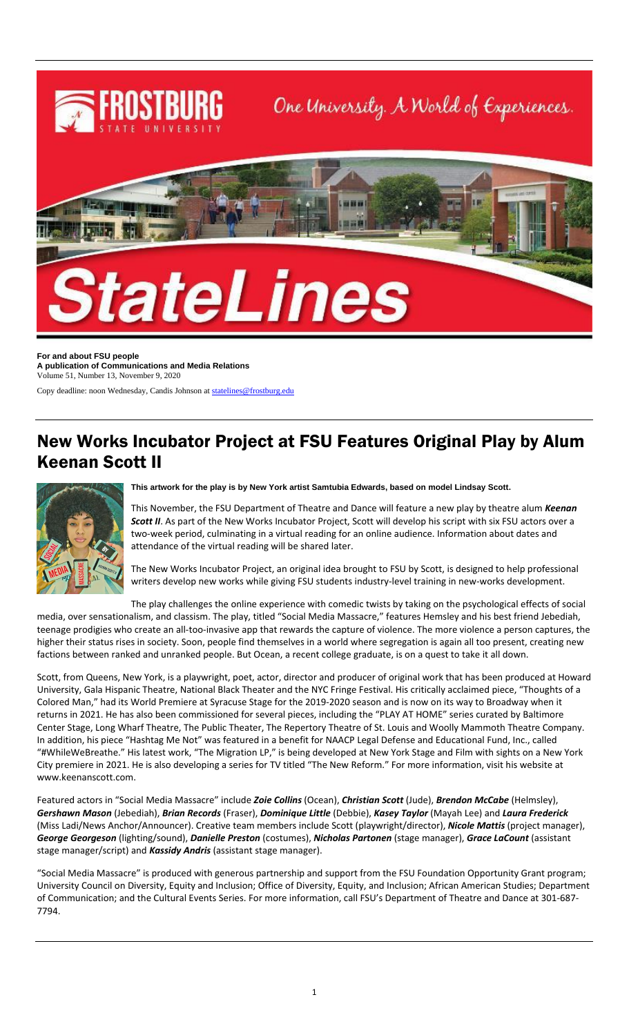

**For and about FSU people A publication of Communications and Media Relations** Volume 51, Number 13, November 9, 2020

Copy deadline: noon Wednesday, Candis Johnson a[t statelines@frostburg.edu](mailto:statelines@frostburg.edu)

## New Works Incubator Project at FSU Features Original Play by Alum Keenan Scott II



#### **This artwork for the play is by New York artist Samtubia Edwards, based on model Lindsay Scott.**

This November, the FSU Department of Theatre and Dance will feature a new play by theatre alum *Keenan Scott II*. As part of the New Works Incubator Project, Scott will develop his script with six FSU actors over a two-week period, culminating in a virtual reading for an online audience. Information about dates and attendance of the virtual reading will be shared later.

The New Works Incubator Project, an original idea brought to FSU by Scott, is designed to help professional writers develop new works while giving FSU students industry-level training in new-works development.

The play challenges the online experience with comedic twists by taking on the psychological effects of social media, over sensationalism, and classism. The play, titled "Social Media Massacre," features Hemsley and his best friend Jebediah, teenage prodigies who create an all-too-invasive app that rewards the capture of violence. The more violence a person captures, the higher their status rises in society. Soon, people find themselves in a world where segregation is again all too present, creating new factions between ranked and unranked people. But Ocean, a recent college graduate, is on a quest to take it all down.

Scott, from Queens, New York, is a playwright, poet, actor, director and producer of original work that has been produced at Howard University, Gala Hispanic Theatre, National Black Theater and the NYC Fringe Festival. His critically acclaimed piece, "Thoughts of a Colored Man," had its World Premiere at Syracuse Stage for the 2019-2020 season and is now on its way to Broadway when it returns in 2021. He has also been commissioned for several pieces, including the "PLAY AT HOME" series curated by Baltimore Center Stage, Long Wharf Theatre, The Public Theater, The Repertory Theatre of St. Louis and Woolly Mammoth Theatre Company. In addition, his piece "Hashtag Me Not" was featured in a benefit for NAACP Legal Defense and Educational Fund, Inc., called "#WhileWeBreathe." His latest work, "The Migration LP," is being developed at New York Stage and Film with sights on a New York City premiere in 2021. He is also developing a series for TV titled "The New Reform." For more information, visit his website at www.keenanscott.com.

Featured actors in "Social Media Massacre" include *Zoie Collins* (Ocean), *Christian Scott* (Jude), *Brendon McCabe* (Helmsley), *Gershawn Mason* (Jebediah), *Brian Records* (Fraser), *Dominique Little* (Debbie), *Kasey Taylor* (Mayah Lee) and *Laura Frederick* (Miss Ladi/News Anchor/Announcer). Creative team members include Scott (playwright/director), *Nicole Mattis* (project manager), *George Georgeson* (lighting/sound), *Danielle Preston* (costumes), *Nicholas Partonen* (stage manager), *Grace LaCount* (assistant stage manager/script) and *Kassidy Andris* (assistant stage manager).

"Social Media Massacre" is produced with generous partnership and support from the FSU Foundation Opportunity Grant program; University Council on Diversity, Equity and Inclusion; Office of Diversity, Equity, and Inclusion; African American Studies; Department of Communication; and the Cultural Events Series. For more information, call FSU's Department of Theatre and Dance at 301-687- 7794.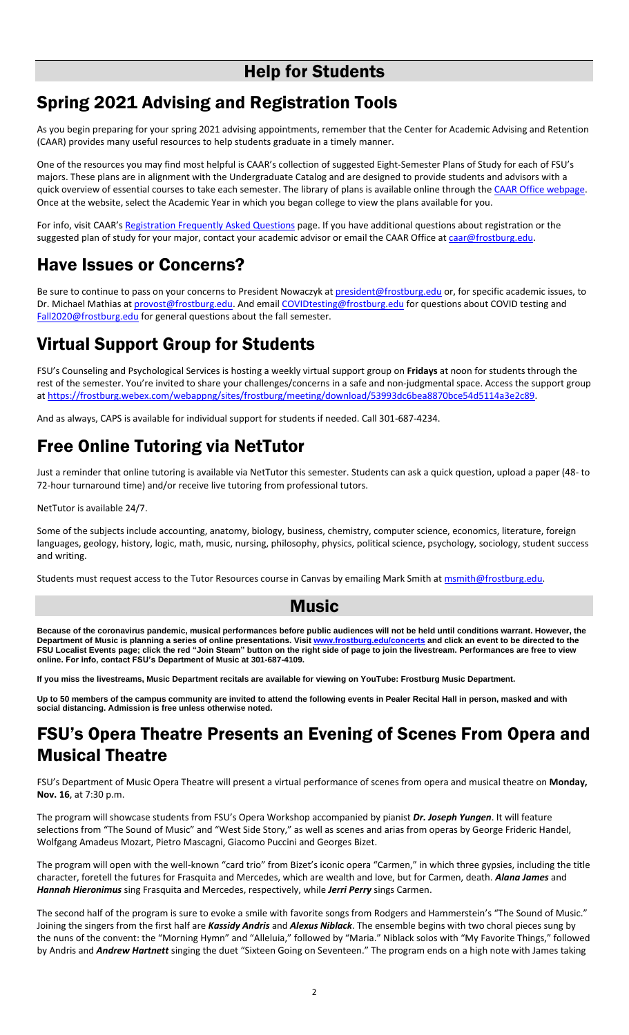## Help for Students

## Spring 2021 Advising and Registration Tools

As you begin preparing for your spring 2021 advising appointments, remember that the Center for Academic Advising and Retention (CAAR) provides many useful resources to help students graduate in a timely manner.

One of the resources you may find most helpful is CAAR's collection of suggested Eight-Semester Plans of Study for each of FSU's majors. These plans are in alignment with the Undergraduate Catalog and are designed to provide students and advisors with a quick overview of essential courses to take each semester. The library of plans is available online through the [CAAR Office webpage.](https://www.frostburg.edu/academics/academic-success-network/Center-for-Academic-Advising-and-Retention/8-semester-plans/index.php) Once at the website, select the Academic Year in which you began college to view the plans available for you.

For info, visit CAAR's [Registration Frequently Asked Questions](https://www.frostburg.edu/academics/academic-success-network/Center-for-Academic-Advising-and-Retention/registration-frequently-asked-questions.php) page. If you have additional questions about registration or the suggested plan of study for your major, contact your academic advisor or email the CAAR Office at [caar@frostburg.edu.](mailto:caar@frostburg.edu)

## Have Issues or Concerns?

Be sure to continue to pass on your concerns to President Nowaczyk a[t president@frostburg.edu](mailto:president@frostburg.edu) or, for specific academic issues, to Dr. Michael Mathias a[t provost@frostburg.edu.](mailto:provost@frostburg.edu) And emai[l COVIDtesting@frostburg.edu](mailto:COVIDtesting@frostburg.edu) for questions about COVID testing and [Fall2020@frostburg.edu](mailto:Fall2020@frostburg.edu) for general questions about the fall semester.

## Virtual Support Group for Students

FSU's Counseling and Psychological Services is hosting a weekly virtual support group on **Fridays** at noon for students through the rest of the semester. You're invited to share your challenges/concerns in a safe and non-judgmental space. Access the support group a[t https://frostburg.webex.com/webappng/sites/frostburg/meeting/download/53993dc6bea8870bce54d5114a3e2c89.](https://frostburg.webex.com/webappng/sites/frostburg/meeting/download/53993dc6bea8870bce54d5114a3e2c89)

And as always, CAPS is available for individual support for students if needed. Call 301-687-4234.

# Free Online Tutoring via NetTutor

Just a reminder that online tutoring is available via NetTutor this semester. Students can ask a quick question, upload a paper (48- to 72-hour turnaround time) and/or receive live tutoring from professional tutors.

NetTutor is available 24/7.

Some of the subjects include accounting, anatomy, biology, business, chemistry, computer science, economics, literature, foreign languages, geology, history, logic, math, music, nursing, philosophy, physics, political science, psychology, sociology, student success and writing.

Students must request access to the Tutor Resources course in Canvas by emailing Mark Smith a[t msmith@frostburg.edu.](mailto:msmith@frostburg.edu)

#### Music

**Because of the coronavirus pandemic, musical performances before public audiences will not be held until conditions warrant. However, the Department of Music is planning a series of online presentations. Visit [www.frostburg.edu/concerts](http://www.frostburg.edu/concerts) and click an event to be directed to the FSU Localist Events page; click the red "Join Steam" button on the right side of page to join the livestream. Performances are free to view online. For info, contact FSU's Department of Music at 301-687-4109.**

**If you miss the livestreams, Music Department recitals are available for viewing on YouTube: Frostburg Music Department.**

**Up to 50 members of the campus community are invited to attend the following events in Pealer Recital Hall in person, masked and with social distancing. Admission is free unless otherwise noted.**

### FSU's Opera Theatre Presents an Evening of Scenes From Opera and Musical Theatre

FSU's Department of Music Opera Theatre will present a virtual performance of scenes from opera and musical theatre on **Monday, Nov. 16**, at 7:30 p.m.

The program will showcase students from FSU's Opera Workshop accompanied by pianist *Dr. Joseph Yungen*. It will feature selections from "The Sound of Music" and "West Side Story," as well as scenes and arias from operas by George Frideric Handel, Wolfgang Amadeus Mozart, Pietro Mascagni, Giacomo Puccini and Georges Bizet.

The program will open with the well-known "card trio" from Bizet's iconic opera "Carmen," in which three gypsies, including the title character, foretell the futures for Frasquita and Mercedes, which are wealth and love, but for Carmen, death. *Alana James* and *Hannah Hieronimus* sing Frasquita and Mercedes, respectively, while *Jerri Perry* sings Carmen.

The second half of the program is sure to evoke a smile with favorite songs from Rodgers and Hammerstein's "The Sound of Music." Joining the singers from the first half are *Kassidy Andris* and *Alexus Niblack*. The ensemble begins with two choral pieces sung by the nuns of the convent: the "Morning Hymn" and "Alleluia," followed by "Maria." Niblack solos with "My Favorite Things," followed by Andris and *Andrew Hartnett* singing the duet "Sixteen Going on Seventeen." The program ends on a high note with James taking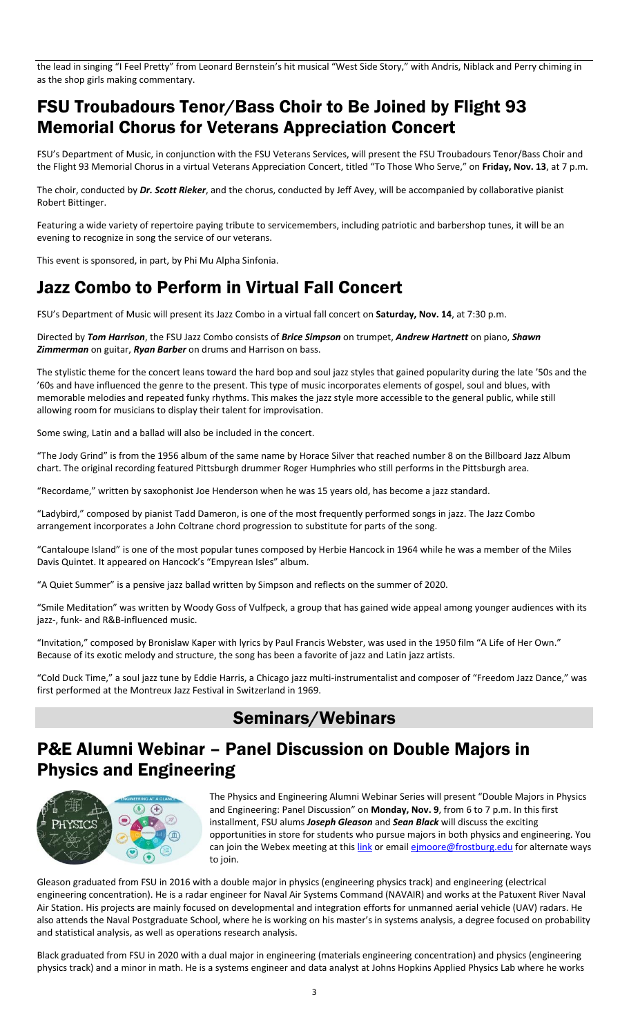the lead in singing "I Feel Pretty" from Leonard Bernstein's hit musical "West Side Story," with Andris, Niblack and Perry chiming in as the shop girls making commentary.

### FSU Troubadours Tenor/Bass Choir to Be Joined by Flight 93 Memorial Chorus for Veterans Appreciation Concert

FSU's Department of Music, in conjunction with the FSU Veterans Services, will present the FSU Troubadours Tenor/Bass Choir and the Flight 93 Memorial Chorus in a virtual Veterans Appreciation Concert, titled "To Those Who Serve," on **Friday, Nov. 13**, at 7 p.m.

The choir, conducted by *Dr. Scott Rieker*, and the chorus, conducted by Jeff Avey, will be accompanied by collaborative pianist Robert Bittinger.

Featuring a wide variety of repertoire paying tribute to servicemembers, including patriotic and barbershop tunes, it will be an evening to recognize in song the service of our veterans.

This event is sponsored, in part, by Phi Mu Alpha Sinfonia.

## Jazz Combo to Perform in Virtual Fall Concert

FSU's Department of Music will present its Jazz Combo in a virtual fall concert on **Saturday, Nov. 14**, at 7:30 p.m.

Directed by *Tom Harrison*, the FSU Jazz Combo consists of *Brice Simpson* on trumpet, *Andrew Hartnett* on piano, *Shawn Zimmerman* on guitar, *Ryan Barber* on drums and Harrison on bass.

The stylistic theme for the concert leans toward the hard bop and soul jazz styles that gained popularity during the late '50s and the '60s and have influenced the genre to the present. This type of music incorporates elements of gospel, soul and blues, with memorable melodies and repeated funky rhythms. This makes the jazz style more accessible to the general public, while still allowing room for musicians to display their talent for improvisation.

Some swing, Latin and a ballad will also be included in the concert.

"The Jody Grind" is from the 1956 album of the same name by Horace Silver that reached number 8 on the Billboard Jazz Album chart. The original recording featured Pittsburgh drummer Roger Humphries who still performs in the Pittsburgh area.

"Recordame," written by saxophonist Joe Henderson when he was 15 years old, has become a jazz standard.

"Ladybird," composed by pianist Tadd Dameron, is one of the most frequently performed songs in jazz. The Jazz Combo arrangement incorporates a John Coltrane chord progression to substitute for parts of the song.

"Cantaloupe Island" is one of the most popular tunes composed by Herbie Hancock in 1964 while he was a member of the Miles Davis Quintet. It appeared on Hancock's "Empyrean Isles" album.

"A Quiet Summer" is a pensive jazz ballad written by Simpson and reflects on the summer of 2020.

"Smile Meditation" was written by Woody Goss of Vulfpeck, a group that has gained wide appeal among younger audiences with its jazz-, funk- and R&B-influenced music.

"Invitation," composed by Bronislaw Kaper with lyrics by Paul Francis Webster, was used in the 1950 film "A Life of Her Own." Because of its exotic melody and structure, the song has been a favorite of jazz and Latin jazz artists.

"Cold Duck Time," a soul jazz tune by Eddie Harris, a Chicago jazz multi-instrumentalist and composer of "Freedom Jazz Dance," was first performed at the Montreux Jazz Festival in Switzerland in 1969.

### Seminars/Webinars

## P&E Alumni Webinar – Panel Discussion on Double Majors in Physics and Engineering



The Physics and Engineering Alumni Webinar Series will present "Double Majors in Physics and Engineering: Panel Discussion" on **Monday, Nov. 9**, from 6 to 7 p.m. In this first installment, FSU alums *Joseph Gleason* and *Sean Black* will discuss the exciting opportunities in store for students who pursue majors in both physics and engineering. You can join the Webex meeting at this [link](https://frostburg.webex.com/webappng/sites/frostburg/meeting/download/419d0f50763d4891ac573df126ee3610?siteurl=frostburg&MTID=m3501af57ce358cd45ce2ffb11dd1269d) or email [ejmoore@frostburg.edu](mailto:ejmoore@frostburg.edu) for alternate ways to join.

Gleason graduated from FSU in 2016 with a double major in physics (engineering physics track) and engineering (electrical engineering concentration). He is a radar engineer for Naval Air Systems Command (NAVAIR) and works at the Patuxent River Naval Air Station. His projects are mainly focused on developmental and integration efforts for unmanned aerial vehicle (UAV) radars. He also attends the Naval Postgraduate School, where he is working on his master's in systems analysis, a degree focused on probability and statistical analysis, as well as operations research analysis.

Black graduated from FSU in 2020 with a dual major in engineering (materials engineering concentration) and physics (engineering physics track) and a minor in math. He is a systems engineer and data analyst at Johns Hopkins Applied Physics Lab where he works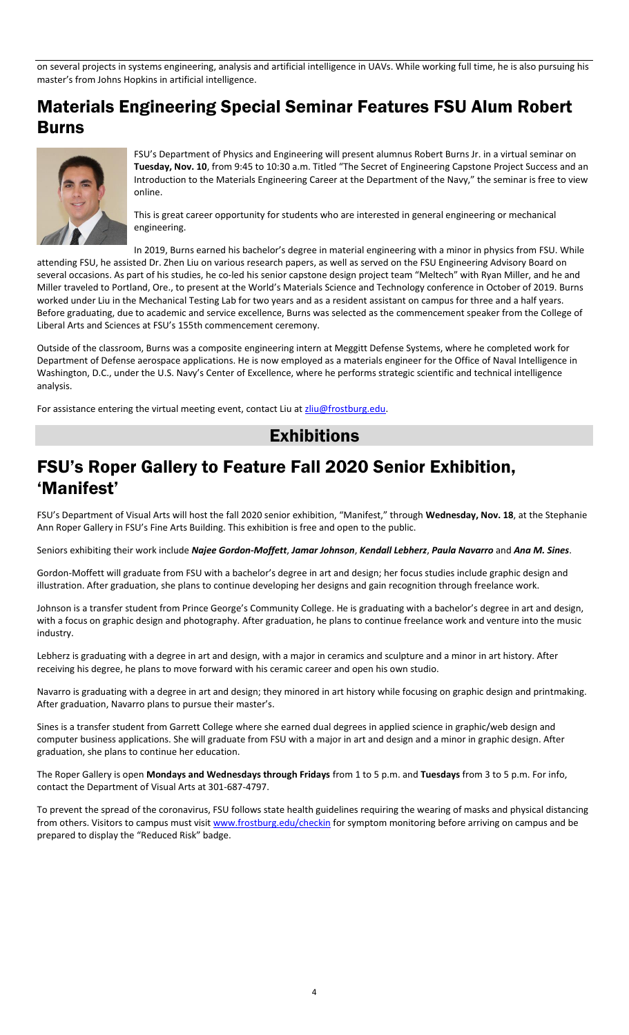on several projects in systems engineering, analysis and artificial intelligence in UAVs. While working full time, he is also pursuing his master's from Johns Hopkins in artificial intelligence.

## Materials Engineering Special Seminar Features FSU Alum Robert Burns



FSU's Department of Physics and Engineering will present alumnus Robert Burns Jr. in a virtual seminar on **Tuesday, Nov. 10**, from 9:45 to 10:30 a.m. Titled "The Secret of Engineering Capstone Project Success and an Introduction to the Materials Engineering Career at the Department of the Navy," the seminar is free to view online.

This is great career opportunity for students who are interested in general engineering or mechanical engineering.

In 2019, Burns earned his bachelor's degree in material engineering with a minor in physics from FSU. While attending FSU, he assisted Dr. Zhen Liu on various research papers, as well as served on the FSU Engineering Advisory Board on several occasions. As part of his studies, he co-led his senior capstone design project team "Meltech" with Ryan Miller, and he and Miller traveled to Portland, Ore., to present at the World's Materials Science and Technology conference in October of 2019. Burns worked under Liu in the Mechanical Testing Lab for two years and as a resident assistant on campus for three and a half years. Before graduating, due to academic and service excellence, Burns was selected as the commencement speaker from the College of Liberal Arts and Sciences at FSU's 155th commencement ceremony.

Outside of the classroom, Burns was a composite engineering intern at Meggitt Defense Systems, where he completed work for Department of Defense aerospace applications. He is now employed as a materials engineer for the Office of Naval Intelligence in Washington, D.C., under the U.S. Navy's Center of Excellence, where he performs strategic scientific and technical intelligence analysis.

For assistance entering the virtual meeting event, contact Liu a[t zliu@frostburg.edu.](mailto:zliu@frostburg.edu)

#### **Exhibitions**

#### FSU's Roper Gallery to Feature Fall 2020 Senior Exhibition, 'Manifest'

FSU's Department of Visual Arts will host the fall 2020 senior exhibition, "Manifest," through **Wednesday, Nov. 18**, at the Stephanie Ann Roper Gallery in FSU's Fine Arts Building. This exhibition is free and open to the public.

Seniors exhibiting their work include *Najee Gordon-Moffett*, *Jamar Johnson*, *Kendall Lebherz*, *Paula Navarro* and *Ana M. Sines*.

Gordon-Moffett will graduate from FSU with a bachelor's degree in art and design; her focus studies include graphic design and illustration. After graduation, she plans to continue developing her designs and gain recognition through freelance work.

Johnson is a transfer student from Prince George's Community College. He is graduating with a bachelor's degree in art and design, with a focus on graphic design and photography. After graduation, he plans to continue freelance work and venture into the music industry.

Lebherz is graduating with a degree in art and design, with a major in ceramics and sculpture and a minor in art history. After receiving his degree, he plans to move forward with his ceramic career and open his own studio.

Navarro is graduating with a degree in art and design; they minored in art history while focusing on graphic design and printmaking. After graduation, Navarro plans to pursue their master's.

Sines is a transfer student from Garrett College where she earned dual degrees in applied science in graphic/web design and computer business applications. She will graduate from FSU with a major in art and design and a minor in graphic design. After graduation, she plans to continue her education.

The Roper Gallery is open **Mondays and Wednesdays through Fridays** from 1 to 5 p.m. and **Tuesdays** from 3 to 5 p.m. For info, contact the Department of Visual Arts at 301-687-4797.

To prevent the spread of the coronavirus, FSU follows state health guidelines requiring the wearing of masks and physical distancing from others. Visitors to campus must visi[t www.frostburg.edu/checkin](http://www.frostburg.edu/checkin) for symptom monitoring before arriving on campus and be prepared to display the "Reduced Risk" badge.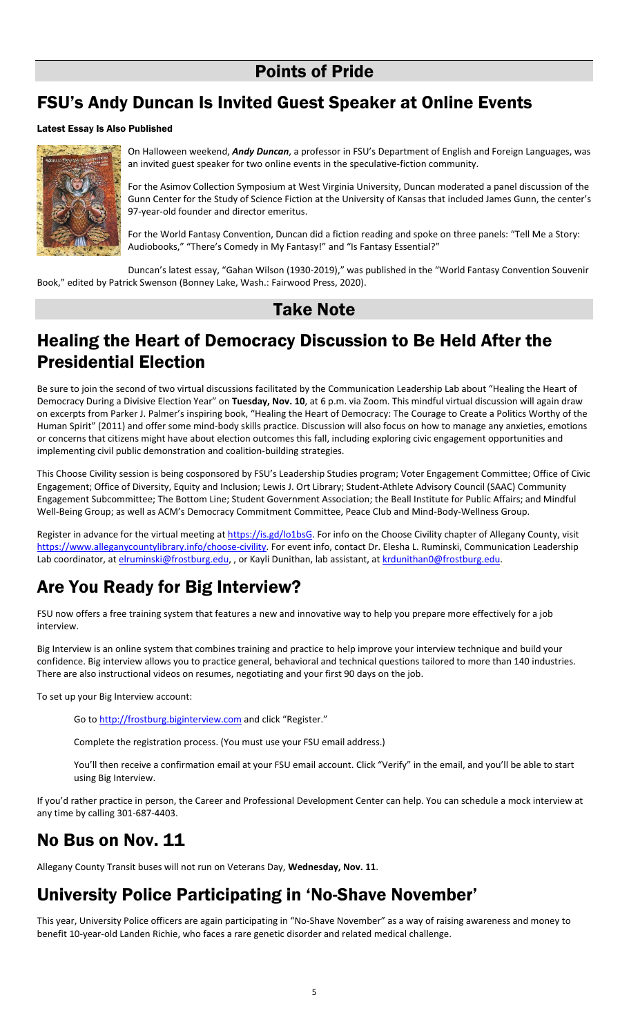## Points of Pride

## FSU's Andy Duncan Is Invited Guest Speaker at Online Events

#### Latest Essay Is Also Published



On Halloween weekend, *Andy Duncan*, a professor in FSU's Department of English and Foreign Languages, was an invited guest speaker for two online events in the speculative-fiction community.

For the Asimov Collection Symposium at West Virginia University, Duncan moderated a panel discussion of the Gunn Center for the Study of Science Fiction at the University of Kansas that included James Gunn, the center's 97-year-old founder and director emeritus.

For the World Fantasy Convention, Duncan did a fiction reading and spoke on three panels: "Tell Me a Story: Audiobooks," "There's Comedy in My Fantasy!" and "Is Fantasy Essential?"

Duncan's latest essay, "Gahan Wilson (1930-2019)," was published in the "World Fantasy Convention Souvenir Book," edited by Patrick Swenson (Bonney Lake, Wash.: Fairwood Press, 2020).

#### Take Note

## Healing the Heart of Democracy Discussion to Be Held After the Presidential Election

Be sure to join the second of two virtual discussions facilitated by the Communication Leadership Lab about "Healing the Heart of Democracy During a Divisive Election Year" on **Tuesday, Nov. 10**, at 6 p.m. via Zoom. This mindful virtual discussion will again draw on excerpts from Parker J. Palmer's inspiring book, "Healing the Heart of Democracy: The Courage to Create a Politics Worthy of the Human Spirit" (2011) and offer some mind-body skills practice. Discussion will also focus on how to manage any anxieties, emotions or concerns that citizens might have about election outcomes this fall, including exploring civic engagement opportunities and implementing civil public demonstration and coalition-building strategies.

This Choose Civility session is being cosponsored by FSU's Leadership Studies program; Voter Engagement Committee; Office of Civic Engagement; Office of Diversity, Equity and Inclusion; Lewis J. Ort Library; Student-Athlete Advisory Council (SAAC) Community Engagement Subcommittee; The Bottom Line; Student Government Association; the Beall Institute for Public Affairs; and Mindful Well-Being Group; as well as ACM's Democracy Commitment Committee, Peace Club and Mind-Body-Wellness Group.

Register in advance for the virtual meeting a[t https://is.gd/lo1bsG.](https://is.gd/lo1bsG) For info on the Choose Civility chapter of Allegany County, visit https://www.alleganycountylibrary.info/choose-civility</u>. For event info, contact Dr. Elesha L. Ruminski, Communication Leadership Lab coordinator, a[t elruminski@frostburg.edu,](mailto:elruminski@frostburg.edu) , or Kayli Dunithan, lab assistant, at [krdunithan0@frostburg.edu.](mailto:krdunithan0@frostburg.edu)

# Are You Ready for Big Interview?

FSU now offers a free training system that features a new and innovative way to help you prepare more effectively for a job interview.

Big Interview is an online system that combines training and practice to help improve your interview technique and build your confidence. Big interview allows you to practice general, behavioral and technical questions tailored to more than 140 industries. There are also instructional videos on resumes, negotiating and your first 90 days on the job.

To set up your Big Interview account:

Go t[o http://frostburg.biginterview.com](http://frostburg.biginterview.com/) and click "Register."

Complete the registration process. (You must use your FSU email address.)

You'll then receive a confirmation email at your FSU email account. Click "Verify" in the email, and you'll be able to start using Big Interview.

If you'd rather practice in person, the Career and Professional Development Center can help. You can schedule a mock interview at any time by calling 301-687-4403.

## No Bus on Nov. 11

Allegany County Transit buses will not run on Veterans Day, **Wednesday, Nov. 11**.

## University Police Participating in 'No-Shave November'

This year, University Police officers are again participating in "No-Shave November" as a way of raising awareness and money to benefit 10-year-old Landen Richie, who faces a rare genetic disorder and related medical challenge.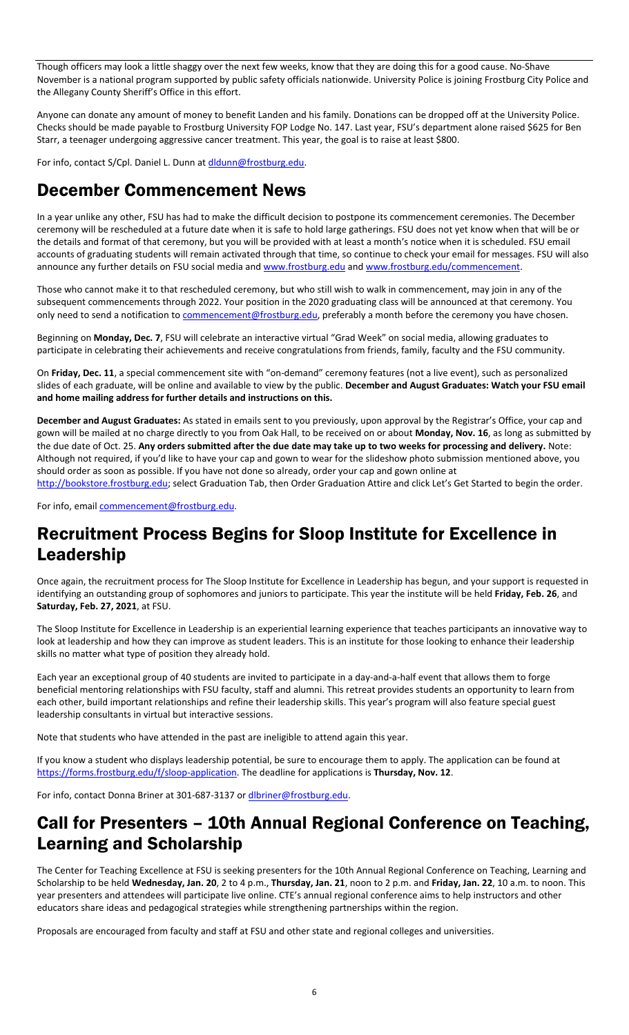Though officers may look a little shaggy over the next few weeks, know that they are doing this for a good cause. No-Shave November is a national program supported by public safety officials nationwide. University Police is joining Frostburg City Police and the Allegany County Sheriff's Office in this effort.

Anyone can donate any amount of money to benefit Landen and his family. Donations can be dropped off at the University Police. Checks should be made payable to Frostburg University FOP Lodge No. 147. Last year, FSU's department alone raised \$625 for Ben Starr, a teenager undergoing aggressive cancer treatment. This year, the goal is to raise at least \$800.

For info, contact S/Cpl. Daniel L. Dunn a[t dldunn@frostburg.edu.](mailto:dldunn@frostburg.edu)

#### December Commencement News

In a year unlike any other, FSU has had to make the difficult decision to postpone its commencement ceremonies. The December ceremony will be rescheduled at a future date when it is safe to hold large gatherings. FSU does not yet know when that will be or the details and format of that ceremony, but you will be provided with at least a month's notice when it is scheduled. FSU email accounts of graduating students will remain activated through that time, so continue to check your email for messages. FSU will also announce any further details on FSU social media an[d www.frostburg.edu](http://www.frostburg.edu/) and [www.frostburg.edu/commencement.](http://www.frostburg.edu/commencement)

Those who cannot make it to that rescheduled ceremony, but who still wish to walk in commencement, may join in any of the subsequent commencements through 2022. Your position in the 2020 graduating class will be announced at that ceremony. You only need to send a notification to *commencement@frostburg.edu*, preferably a month before the ceremony you have chosen.

Beginning on **Monday, Dec. 7**, FSU will celebrate an interactive virtual "Grad Week" on social media, allowing graduates to participate in celebrating their achievements and receive congratulations from friends, family, faculty and the FSU community.

On **Friday, Dec. 11**, a special commencement site with "on-demand" ceremony features (not a live event), such as personalized slides of each graduate, will be online and available to view by the public. **December and August Graduates: Watch your FSU email and home mailing address for further details and instructions on this.**

**December and August Graduates:** As stated in emails sent to you previously, upon approval by the Registrar's Office, your cap and gown will be mailed at no charge directly to you from Oak Hall, to be received on or about **Monday, Nov. 16**, as long as submitted by the due date of Oct. 25. **Any orders submitted after the due date may take up to two weeks for processing and delivery.** Note: Although not required, if you'd like to have your cap and gown to wear for the slideshow photo submission mentioned above, you should order as soon as possible. If you have not done so already, order your cap and gown online at

[http://bookstore.frostburg.edu](http://bookstore.frostburg.edu/); select Graduation Tab, then Order Graduation Attire and click Let's Get Started to begin the order.

For info, email [commencement@frostburg.edu.](mailto:commencement@frostburg.edu)

## Recruitment Process Begins for Sloop Institute for Excellence in Leadership

Once again, the recruitment process for The Sloop Institute for Excellence in Leadership has begun, and your support is requested in identifying an outstanding group of sophomores and juniors to participate. This year the institute will be held **Friday, Feb. 26**, and **Saturday, Feb. 27, 2021**, at FSU.

The Sloop Institute for Excellence in Leadership is an experiential learning experience that teaches participants an innovative way to look at leadership and how they can improve as student leaders. This is an institute for those looking to enhance their leadership skills no matter what type of position they already hold.

Each year an exceptional group of 40 students are invited to participate in a day-and-a-half event that allows them to forge beneficial mentoring relationships with FSU faculty, staff and alumni. This retreat provides students an opportunity to learn from each other, build important relationships and refine their leadership skills. This year's program will also feature special guest leadership consultants in virtual but interactive sessions.

Note that students who have attended in the past are ineligible to attend again this year.

If you know a student who displays leadership potential, be sure to encourage them to apply. The application can be found at [https://forms.frostburg.edu/f/sloop-application.](https://forms.frostburg.edu/f/sloop-application) The deadline for applications is **Thursday, Nov. 12**.

For info, contact Donna Briner at 301-687-3137 o[r dlbriner@frostburg.edu.](mailto:dlbriner@frostburg.edu)

## Call for Presenters – 10th Annual Regional Conference on Teaching, Learning and Scholarship

The Center for Teaching Excellence at FSU is seeking presenters for the 10th Annual Regional Conference on Teaching, Learning and Scholarship to be held **Wednesday, Jan. 20**, 2 to 4 p.m., **Thursday, Jan. 21**, noon to 2 p.m. and **Friday, Jan. 22**, 10 a.m. to noon. This year presenters and attendees will participate live online. CTE's annual regional conference aims to help instructors and other educators share ideas and pedagogical strategies while strengthening partnerships within the region.

Proposals are encouraged from faculty and staff at FSU and other state and regional colleges and universities.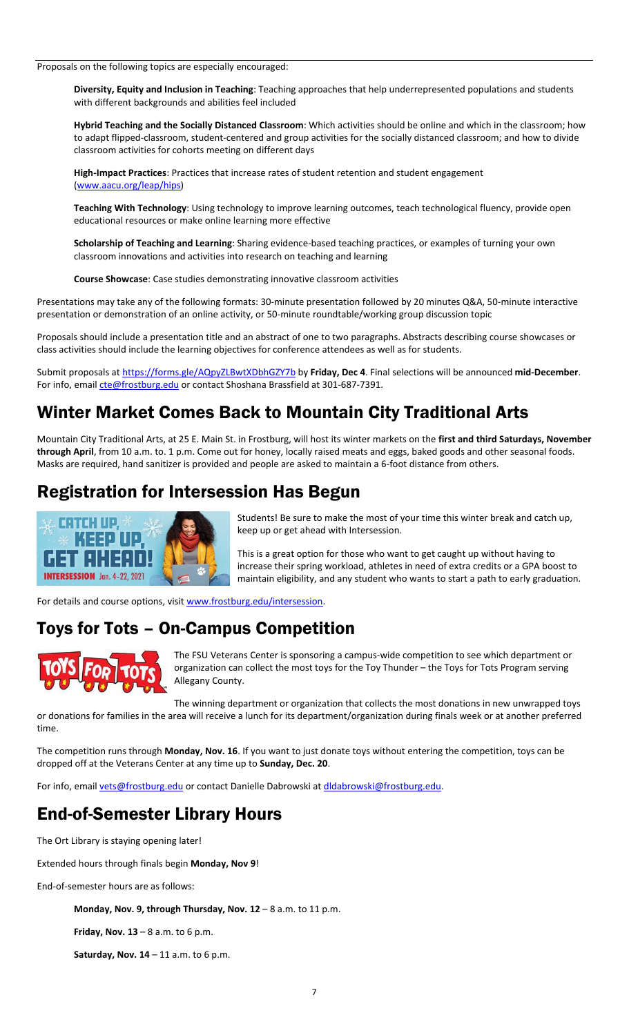Proposals on the following topics are especially encouraged:

**Diversity, Equity and Inclusion in Teaching**: Teaching approaches that help underrepresented populations and students with different backgrounds and abilities feel included

**Hybrid Teaching and the Socially Distanced Classroom**: Which activities should be online and which in the classroom; how to adapt flipped-classroom, student-centered and group activities for the socially distanced classroom; and how to divide classroom activities for cohorts meeting on different days

**High-Impact Practices**: Practices that increase rates of student retention and student engagement [\(www.aacu.org/leap/hips\)](http://www.aacu.org/leap/hips)

**Teaching With Technology**: Using technology to improve learning outcomes, teach technological fluency, provide open educational resources or make online learning more effective

**Scholarship of Teaching and Learning**: Sharing evidence-based teaching practices, or examples of turning your own classroom innovations and activities into research on teaching and learning

**Course Showcase**: Case studies demonstrating innovative classroom activities

Presentations may take any of the following formats: 30-minute presentation followed by 20 minutes Q&A, 50-minute interactive presentation or demonstration of an online activity, or 50-minute roundtable/working group discussion topic

Proposals should include a presentation title and an abstract of one to two paragraphs. Abstracts describing course showcases or class activities should include the learning objectives for conference attendees as well as for students.

Submit proposals at<https://forms.gle/AQpyZLBwtXDbhGZY7b> by **Friday, Dec 4**. Final selections will be announced **mid-December**. For info, email [cte@frostburg.edu](mailto:cte@frostburg.edu) or contact Shoshana Brassfield at 301-687-7391.

## Winter Market Comes Back to Mountain City Traditional Arts

Mountain City Traditional Arts, at 25 E. Main St. in Frostburg, will host its winter markets on the **first and third Saturdays, November through April**, from 10 a.m. to. 1 p.m. Come out for honey, locally raised meats and eggs, baked goods and other seasonal foods. Masks are required, hand sanitizer is provided and people are asked to maintain a 6-foot distance from others.

## Registration for Intersession Has Begun



Students! Be sure to make the most of your time this winter break and catch up, keep up or get ahead with Intersession.

This is a great option for those who want to get caught up without having to increase their spring workload, athletes in need of extra credits or a GPA boost to maintain eligibility, and any student who wants to start a path to early graduation.

For details and course options, visit [www.frostburg.edu/intersession.](http://www.frostburg.edu/intersession)

## Toys for Tots – On-Campus Competition



The FSU Veterans Center is sponsoring a campus-wide competition to see which department or organization can collect the most toys for the Toy Thunder – the Toys for Tots Program serving Allegany County.

The winning department or organization that collects the most donations in new unwrapped toys

or donations for families in the area will receive a lunch for its department/organization during finals week or at another preferred time.

The competition runs through **Monday, Nov. 16**. If you want to just donate toys without entering the competition, toys can be dropped off at the Veterans Center at any time up to **Sunday, Dec. 20**.

For info, email [vets@frostburg.edu](mailto:vets@frostburg.edu) or contact Danielle Dabrowski at dldabrowski@frostburg.edu.

# End-of-Semester Library Hours

The Ort Library is staying opening later!

Extended hours through finals begin **Monday, Nov 9**!

End-of-semester hours are as follows:

**Monday, Nov. 9, through Thursday, Nov. 12** – 8 a.m. to 11 p.m.

**Friday, Nov. 13** – 8 a.m. to 6 p.m.

**Saturday, Nov. 14** – 11 a.m. to 6 p.m.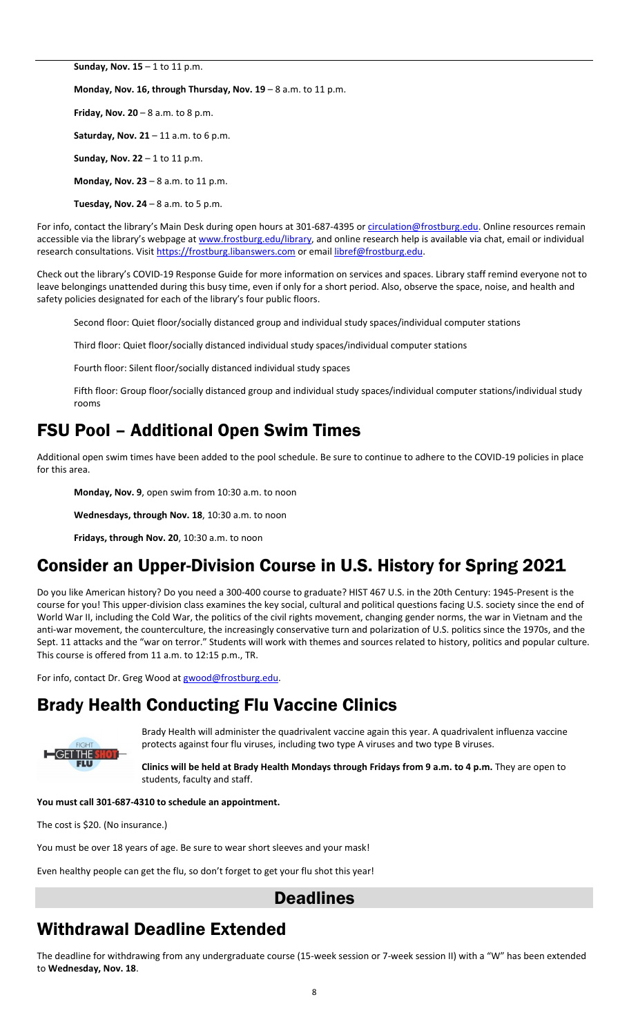**Sunday, Nov. 15** – 1 to 11 p.m.

**Monday, Nov. 16, through Thursday, Nov. 19** – 8 a.m. to 11 p.m.

**Friday, Nov. 20** – 8 a.m. to 8 p.m. **Saturday, Nov. 21** – 11 a.m. to 6 p.m. **Sunday, Nov. 22** – 1 to 11 p.m. **Monday, Nov. 23** – 8 a.m. to 11 p.m. **Tuesday, Nov. 24** – 8 a.m. to 5 p.m.

For info, contact the library's Main Desk during open hours at 301-687-4395 or [circulation@frostburg.edu.](mailto:circulation@frostburg.edu) Online resources remain accessible via the library's webpage at [www.frostburg.edu/library,](http://www.frostburg.edu/library) and online research help is available via chat, email or individual research consultations. Visi[t https://frostburg.libanswers.com](https://frostburg.libanswers.com/) or emai[l libref@frostburg.edu.](mailto:libref@frostburg.edu)

Check out the library's COVID-19 Response Guide for more information on services and spaces. Library staff remind everyone not to leave belongings unattended during this busy time, even if only for a short period. Also, observe the space, noise, and health and safety policies designated for each of the library's four public floors.

Second floor: Quiet floor/socially distanced group and individual study spaces/individual computer stations

Third floor: Quiet floor/socially distanced individual study spaces/individual computer stations

Fourth floor: Silent floor/socially distanced individual study spaces

Fifth floor: Group floor/socially distanced group and individual study spaces/individual computer stations/individual study rooms

## FSU Pool – Additional Open Swim Times

Additional open swim times have been added to the pool schedule. Be sure to continue to adhere to the COVID-19 policies in place for this area.

**Monday, Nov. 9**, open swim from 10:30 a.m. to noon

**Wednesdays, through Nov. 18**, 10:30 a.m. to noon

**Fridays, through Nov. 20**, 10:30 a.m. to noon

## Consider an Upper-Division Course in U.S. History for Spring 2021

Do you like American history? Do you need a 300-400 course to graduate? HIST 467 U.S. in the 20th Century: 1945-Present is the course for you! This upper-division class examines the key social, cultural and political questions facing U.S. society since the end of World War II, including the Cold War, the politics of the civil rights movement, changing gender norms, the war in Vietnam and the anti-war movement, the counterculture, the increasingly conservative turn and polarization of U.S. politics since the 1970s, and the Sept. 11 attacks and the "war on terror." Students will work with themes and sources related to history, politics and popular culture. This course is offered from 11 a.m. to 12:15 p.m., TR.

For info, contact Dr. Greg Wood a[t gwood@frostburg.edu.](mailto:gwood@frostburg.edu)

### Brady Health Conducting Flu Vaccine Clinics



Brady Health will administer the quadrivalent vaccine again this year. A quadrivalent influenza vaccine protects against four flu viruses, including two type A viruses and two type B viruses.

**Clinics will be held at Brady Health Mondays through Fridays from 9 a.m. to 4 p.m.** They are open to students, faculty and staff.

**You must call 301-687-4310 to schedule an appointment.**

The cost is \$20. (No insurance.)

You must be over 18 years of age. Be sure to wear short sleeves and your mask!

Even healthy people can get the flu, so don't forget to get your flu shot this year!

#### **Deadlines**

### Withdrawal Deadline Extended

The deadline for withdrawing from any undergraduate course (15-week session or 7-week session II) with a "W" has been extended to **Wednesday, Nov. 18**.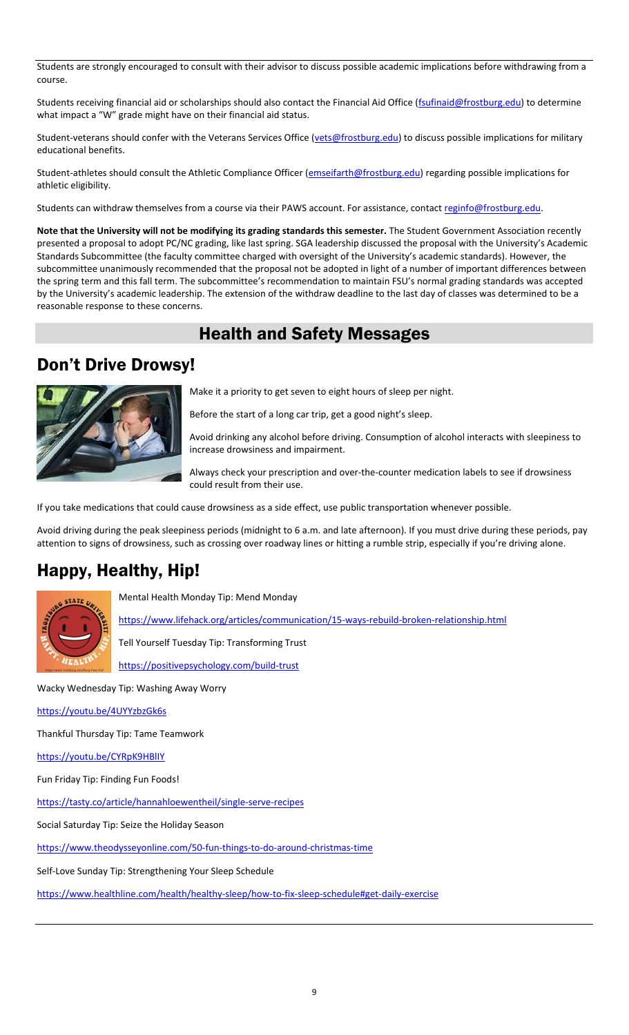Students are strongly encouraged to consult with their advisor to discuss possible academic implications before withdrawing from a course.

Students receiving financial aid or scholarships should also contact the Financial Aid Office [\(fsufinaid@frostburg.edu\)](mailto:fsufinaid@frostburg.edu) to determine what impact a "W" grade might have on their financial aid status.

Student-veterans should confer with the Veterans Services Office [\(vets@frostburg.edu\)](mailto:vets@frostburg.edu) to discuss possible implications for military educational benefits.

Student-athletes should consult the Athletic Compliance Officer [\(emseifarth@frostburg.edu\)](mailto:emseifarth@frostburg.edu) regarding possible implications for athletic eligibility.

Students can withdraw themselves from a course via their PAWS account. For assistance, contact reginfo@frostburg.edu.

**Note that the University will not be modifying its grading standards this semester.** The Student Government Association recently presented a proposal to adopt PC/NC grading, like last spring. SGA leadership discussed the proposal with the University's Academic Standards Subcommittee (the faculty committee charged with oversight of the University's academic standards). However, the subcommittee unanimously recommended that the proposal not be adopted in light of a number of important differences between the spring term and this fall term. The subcommittee's recommendation to maintain FSU's normal grading standards was accepted by the University's academic leadership. The extension of the withdraw deadline to the last day of classes was determined to be a reasonable response to these concerns.

#### Health and Safety Messages

#### Don't Drive Drowsy!



Make it a priority to get seven to eight hours of sleep per night.

Before the start of a long car trip, get a good night's sleep.

Avoid drinking any alcohol before driving. Consumption of alcohol interacts with sleepiness to increase drowsiness and impairment.

Always check your prescription and over-the-counter medication labels to see if drowsiness could result from their use.

If you take medications that could cause drowsiness as a side effect, use public transportation whenever possible.

Avoid driving during the peak sleepiness periods (midnight to 6 a.m. and late afternoon). If you must drive during these periods, pay attention to signs of drowsiness, such as crossing over roadway lines or hitting a rumble strip, especially if you're driving alone.

### Happy, Healthy, Hip!



Mental Health Monday Tip: Mend Monday

<https://www.lifehack.org/articles/communication/15-ways-rebuild-broken-relationship.html>

Tell Yourself Tuesday Tip: Transforming Trust

<https://positivepsychology.com/build-trust>

Wacky Wednesday Tip: Washing Away Worry

<https://youtu.be/4UYYzbzGk6s>

Thankful Thursday Tip: Tame Teamwork

<https://youtu.be/CYRpK9HBlIY>

Fun Friday Tip: Finding Fun Foods!

<https://tasty.co/article/hannahloewentheil/single-serve-recipes>

Social Saturday Tip: Seize the Holiday Season

<https://www.theodysseyonline.com/50-fun-things-to-do-around-christmas-time>

Self-Love Sunday Tip: Strengthening Your Sleep Schedule

<https://www.healthline.com/health/healthy-sleep/how-to-fix-sleep-schedule#get-daily-exercise>